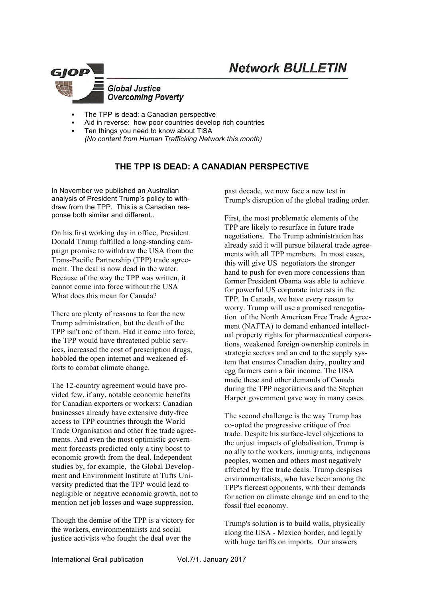

- The TPP is dead: a Canadian perspective
- Aid in reverse: how poor countries develop rich countries
- Ten things you need to know about TiSA *(No content from Human Trafficking Network this month)*

# **THE TPP IS DEAD: A CANADIAN PERSPECTIVE**

In November we published an Australian analysis of President Trump's policy to withdraw from the TPP. This is a Canadian response both similar and different..

On his first working day in office, President Donald Trump fulfilled a long-standing campaign promise to withdraw the USA from the Trans-Pacific Partnership (TPP) trade agreement. The deal is now dead in the water. Because of the way the TPP was written, it cannot come into force without the USA What does this mean for Canada?

There are plenty of reasons to fear the new Trump administration, but the death of the TPP isn't one of them. Had it come into force, the TPP would have threatened public services, increased the cost of prescription drugs, hobbled the open internet and weakened efforts to combat climate change.

The 12-country agreement would have provided few, if any, notable economic benefits for Canadian exporters or workers: Canadian businesses already have extensive duty-free access to TPP countries through the World Trade Organisation and other free trade agreements. And even the most optimistic government forecasts predicted only a tiny boost to economic growth from the deal. Independent studies by, for example, the Global Development and Environment Institute at Tufts University predicted that the TPP would lead to negligible or negative economic growth, not to mention net job losses and wage suppression.

Though the demise of the TPP is a victory for the workers, environmentalists and social justice activists who fought the deal over the

past decade, we now face a new test in Trump's disruption of the global trading order.

First, the most problematic elements of the TPP are likely to resurface in future trade negotiations. The Trump administration has already said it will pursue bilateral trade agreements with all TPP members. In most cases, this will give US negotiators the stronger hand to push for even more concessions than former President Obama was able to achieve for powerful US corporate interests in the TPP. In Canada, we have every reason to worry. Trump will use a promised renegotiation of the North American Free Trade Agreement (NAFTA) to demand enhanced intellectual property rights for pharmaceutical corporations, weakened foreign ownership controls in strategic sectors and an end to the supply system that ensures Canadian dairy, poultry and egg farmers earn a fair income. The USA made these and other demands of Canada during the TPP negotiations and the Stephen Harper government gave way in many cases.

The second challenge is the way Trump has co-opted the progressive critique of free trade. Despite his surface-level objections to the unjust impacts of globalisation, Trump is no ally to the workers, immigrants, indigenous peoples, women and others most negatively affected by free trade deals. Trump despises environmentalists, who have been among the TPP's fiercest opponents, with their demands for action on climate change and an end to the fossil fuel economy.

Trump's solution is to build walls, physically along the USA - Mexico border, and legally with huge tariffs on imports. Our answers

International Grail publication Vol.7/1. January 2017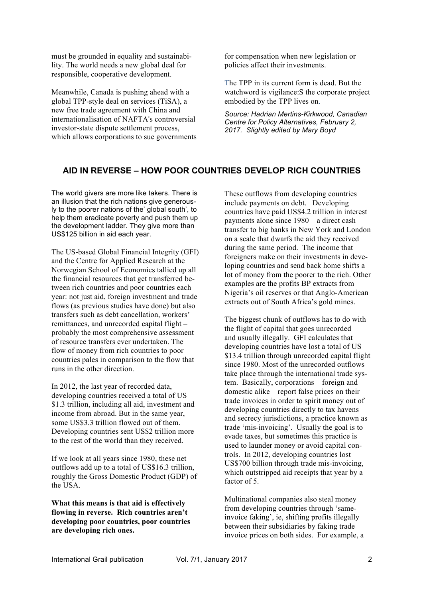must be grounded in equality and sustainability. The world needs a new global deal for responsible, cooperative development.

Meanwhile, Canada is pushing ahead with a global TPP-style deal on services (TiSA), a new free trade agreement with China and internationalisation of NAFTA's controversial investor-state dispute settlement process, which allows corporations to sue governments for compensation when new legislation or policies affect their investments.

The TPP in its current form is dead. But the watchword is vigilance:S the corporate project embodied by the TPP lives on.

*Source: Hadrian Mertins-Kirkwood, Canadian Centre for Policy Alternatives, February 2, 2017. Slightly edited by Mary Boyd*

# **AID IN REVERSE – HOW POOR COUNTRIES DEVELOP RICH COUNTRIES**

The world givers are more like takers. There is an illusion that the rich nations give generously to the poorer nations of the' global south', to help them eradicate poverty and push them up the development ladder. They give more than US\$125 billion in aid each year.

The US-based Global Financial Integrity (GFI) and the Centre for Applied Research at the Norwegian School of Economics tallied up all the financial resources that get transferred between rich countries and poor countries each year: not just aid, foreign investment and trade flows (as previous studies have done) but also transfers such as debt cancellation, workers' remittances, and unrecorded capital flight – probably the most comprehensive assessment of resource transfers ever undertaken. The flow of money from rich countries to poor countries pales in comparison to the flow that runs in the other direction.

In 2012, the last year of recorded data, developing countries received a total of US \$1.3 trillion, including all aid, investment and income from abroad. But in the same year, some US\$3.3 trillion flowed out of them. Developing countries sent US\$2 trillion more to the rest of the world than they received.

If we look at all years since 1980, these net outflows add up to a total of US\$16.3 trillion, roughly the Gross Domestic Product (GDP) of the USA.

**What this means is that aid is effectively flowing in reverse. Rich countries aren't developing poor countries, poor countries are developing rich ones.**

These outflows from developing countries include payments on debt. Developing countries have paid US\$4.2 trillion in interest payments alone since 1980 – a direct cash transfer to big banks in New York and London on a scale that dwarfs the aid they received during the same period. The income that foreigners make on their investments in developing countries and send back home shifts a lot of money from the poorer to the rich. Other examples are the profits BP extracts from Nigeria's oil reserves or that Anglo-American extracts out of South Africa's gold mines.

The biggest chunk of outflows has to do with the flight of capital that goes unrecorded – and usually illegally. GFI calculates that developing countries have lost a total of US \$13.4 trillion through unrecorded capital flight since 1980. Most of the unrecorded outflows take place through the international trade system. Basically, corporations – foreign and domestic alike – report false prices on their trade invoices in order to spirit money out of developing countries directly to tax havens and secrecy jurisdictions, a practice known as trade 'mis-invoicing'. Usually the goal is to evade taxes, but sometimes this practice is used to launder money or avoid capital controls. In 2012, developing countries lost US\$700 billion through trade mis-invoicing, which outstripped aid receipts that year by a factor of 5.

Multinational companies also steal money from developing countries through 'sameinvoice faking', ie, shifting profits illegally between their subsidiaries by faking trade invoice prices on both sides. For example, a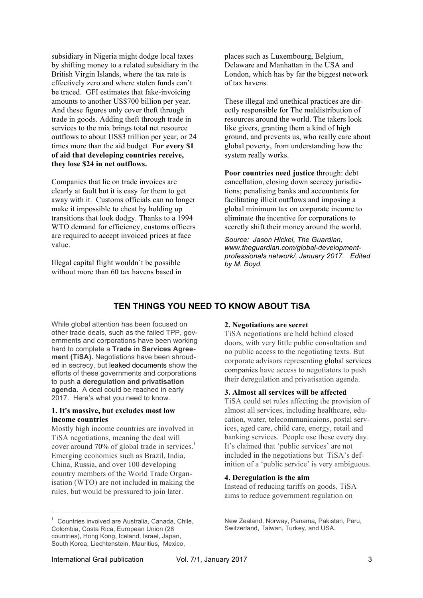subsidiary in Nigeria might dodge local taxes by shifting money to a related subsidiary in the British Virgin Islands, where the tax rate is effectively zero and where stolen funds can't be traced. GFI estimates that fake-invoicing amounts to another US\$700 billion per year. And these figures only cover theft through trade in goods. Adding theft through trade in services to the mix brings total net resource outflows to about US\$3 trillion per year, or 24 times more than the aid budget. **For every \$1 of aid that developing countries receive, they lose \$24 in net outflows.**

Companies that lie on trade invoices are clearly at fault but it is easy for them to get away with it. Customs officials can no longer make it impossible to cheat by holding up transitions that look dodgy. Thanks to a 1994 WTO demand for efficiency, customs officers are required to accept invoiced prices at face value.

Illegal capital flight wouldn`t be possible without more than 60 tax havens based in places such as Luxembourg, Belgium, Delaware and Manhattan in the USA and London, which has by far the biggest network of tax havens.

These illegal and unethical practices are directly responsible for The maldistribution of resources around the world. The takers look like givers, granting them a kind of high ground, and prevents us, who really care about global poverty, from understanding how the system really works.

**Poor countries need justice** through: debt cancellation, closing down secrecy jurisdictions; penalising banks and accountants for facilitating illicit outflows and imposing a global minimum tax on corporate income to eliminate the incentive for corporations to secretly shift their money around the world.

*Source: Jason Hickel, The Guardian, www.theguardian.com/global-developmentprofessionals network/, January 2017. Edited by M. Boyd.* 

# **TEN THINGS YOU NEED TO KNOW ABOUT TiSA**

While global attention has been focused on other trade deals, such as the failed TPP, governments and corporations have been working hard to complete a **Trade in Services Agreement (TiSA).** Negotiations have been shrouded in secrecy, but leaked documents show the efforts of these governments and corporations to push **a deregulation and privatisation agenda.** A deal could be reached in early 2017. Here's what you need to know.

## **1. It's massive, but excludes most low income countries**

Mostly high income countries are involved in TiSA negotiations, meaning the deal will cover around 70% of global trade in services. $1$ Emerging economies such as Brazil, India, China, Russia, and over 100 developing country members of the World Trade Organisation (WTO) are not included in making the rules, but would be pressured to join later.

### **2. Negotiations are secret**

TiSA negotiations are held behind closed doors, with very little public consultation and no public access to the negotiating texts. But corporate advisors representing global services companies have access to negotiators to push their deregulation and privatisation agenda.

## **3. Almost all services will be affected**

TiSA could set rules affecting the provision of almost all services, including healthcare, education, water, telecommunicaions, postal services, aged care, child care, energy, retail and banking services. People use these every day. It's claimed that 'public services' are not included in the negotiations but TiSA's definition of a 'public service' is very ambiguous.

## **4. Deregulation is the aim**

Instead of reducing tariffs on goods, TiSA aims to reduce government regulation on

 $\frac{1}{1}$  $1$  Countries involved are Australia, Canada, Chile, Colombia, Costa Rica, European Union (28 countries), Hong Kong, Iceland, Israel, Japan, South Korea, Liechtenstein, Mauritius, Mexico,

New Zealand, Norway, Panama, Pakistan, Peru, Switzerland, Taiwan, Turkey, and USA.